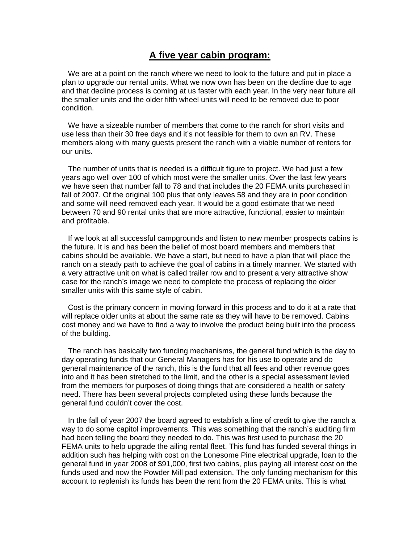## **A five year cabin program:**

 We are at a point on the ranch where we need to look to the future and put in place a plan to upgrade our rental units. What we now own has been on the decline due to age and that decline process is coming at us faster with each year. In the very near future all the smaller units and the older fifth wheel units will need to be removed due to poor condition.

 We have a sizeable number of members that come to the ranch for short visits and use less than their 30 free days and it's not feasible for them to own an RV. These members along with many guests present the ranch with a viable number of renters for our units.

 The number of units that is needed is a difficult figure to project. We had just a few years ago well over 100 of which most were the smaller units. Over the last few years we have seen that number fall to 78 and that includes the 20 FEMA units purchased in fall of 2007. Of the original 100 plus that only leaves 58 and they are in poor condition and some will need removed each year. It would be a good estimate that we need between 70 and 90 rental units that are more attractive, functional, easier to maintain and profitable.

 If we look at all successful campgrounds and listen to new member prospects cabins is the future. It is and has been the belief of most board members and members that cabins should be available. We have a start, but need to have a plan that will place the ranch on a steady path to achieve the goal of cabins in a timely manner. We started with a very attractive unit on what is called trailer row and to present a very attractive show case for the ranch's image we need to complete the process of replacing the older smaller units with this same style of cabin.

 Cost is the primary concern in moving forward in this process and to do it at a rate that will replace older units at about the same rate as they will have to be removed. Cabins cost money and we have to find a way to involve the product being built into the process of the building.

 The ranch has basically two funding mechanisms, the general fund which is the day to day operating funds that our General Managers has for his use to operate and do general maintenance of the ranch, this is the fund that all fees and other revenue goes into and it has been stretched to the limit, and the other is a special assessment levied from the members for purposes of doing things that are considered a health or safety need. There has been several projects completed using these funds because the general fund couldn't cover the cost.

 In the fall of year 2007 the board agreed to establish a line of credit to give the ranch a way to do some capitol improvements. This was something that the ranch's auditing firm had been telling the board they needed to do. This was first used to purchase the 20 FEMA units to help upgrade the ailing rental fleet. This fund has funded several things in addition such has helping with cost on the Lonesome Pine electrical upgrade, loan to the general fund in year 2008 of \$91,000, first two cabins, plus paying all interest cost on the funds used and now the Powder Mill pad extension. The only funding mechanism for this account to replenish its funds has been the rent from the 20 FEMA units. This is what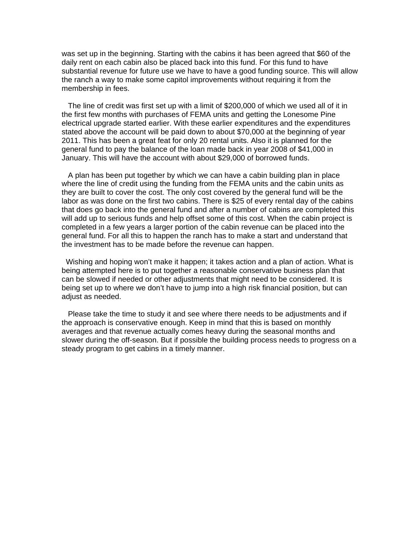was set up in the beginning. Starting with the cabins it has been agreed that \$60 of the daily rent on each cabin also be placed back into this fund. For this fund to have substantial revenue for future use we have to have a good funding source. This will allow the ranch a way to make some capitol improvements without requiring it from the membership in fees.

 The line of credit was first set up with a limit of \$200,000 of which we used all of it in the first few months with purchases of FEMA units and getting the Lonesome Pine electrical upgrade started earlier. With these earlier expenditures and the expenditures stated above the account will be paid down to about \$70,000 at the beginning of year 2011. This has been a great feat for only 20 rental units. Also it is planned for the general fund to pay the balance of the loan made back in year 2008 of \$41,000 in January. This will have the account with about \$29,000 of borrowed funds.

 A plan has been put together by which we can have a cabin building plan in place where the line of credit using the funding from the FEMA units and the cabin units as they are built to cover the cost. The only cost covered by the general fund will be the labor as was done on the first two cabins. There is \$25 of every rental day of the cabins that does go back into the general fund and after a number of cabins are completed this will add up to serious funds and help offset some of this cost. When the cabin project is completed in a few years a larger portion of the cabin revenue can be placed into the general fund. For all this to happen the ranch has to make a start and understand that the investment has to be made before the revenue can happen.

 Wishing and hoping won't make it happen; it takes action and a plan of action. What is being attempted here is to put together a reasonable conservative business plan that can be slowed if needed or other adjustments that might need to be considered. It is being set up to where we don't have to jump into a high risk financial position, but can adjust as needed.

 Please take the time to study it and see where there needs to be adjustments and if the approach is conservative enough. Keep in mind that this is based on monthly averages and that revenue actually comes heavy during the seasonal months and slower during the off-season. But if possible the building process needs to progress on a steady program to get cabins in a timely manner.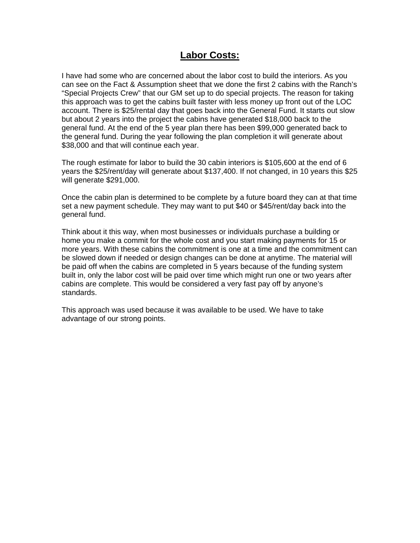# **Labor Costs:**

I have had some who are concerned about the labor cost to build the interiors. As you can see on the Fact & Assumption sheet that we done the first 2 cabins with the Ranch's "Special Projects Crew" that our GM set up to do special projects. The reason for taking this approach was to get the cabins built faster with less money up front out of the LOC account. There is \$25/rental day that goes back into the General Fund. It starts out slow but about 2 years into the project the cabins have generated \$18,000 back to the general fund. At the end of the 5 year plan there has been \$99,000 generated back to the general fund. During the year following the plan completion it will generate about \$38,000 and that will continue each year.

The rough estimate for labor to build the 30 cabin interiors is \$105,600 at the end of 6 years the \$25/rent/day will generate about \$137,400. If not changed, in 10 years this \$25 will generate \$291,000.

Once the cabin plan is determined to be complete by a future board they can at that time set a new payment schedule. They may want to put \$40 or \$45/rent/day back into the general fund.

Think about it this way, when most businesses or individuals purchase a building or home you make a commit for the whole cost and you start making payments for 15 or more years. With these cabins the commitment is one at a time and the commitment can be slowed down if needed or design changes can be done at anytime. The material will be paid off when the cabins are completed in 5 years because of the funding system built in, only the labor cost will be paid over time which might run one or two years after cabins are complete. This would be considered a very fast pay off by anyone's standards.

This approach was used because it was available to be used. We have to take advantage of our strong points.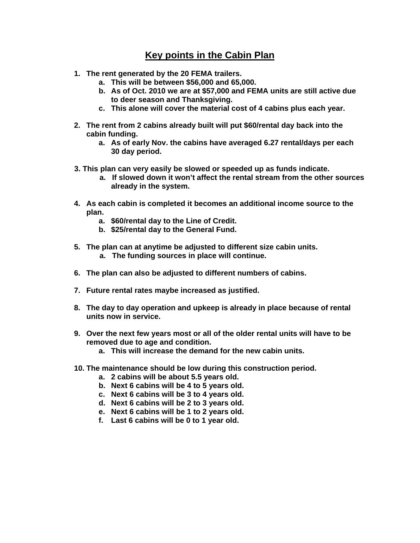# **Key points in the Cabin Plan**

- **1. The rent generated by the 20 FEMA trailers.** 
	- **a. This will be between \$56,000 and 65,000.**
	- **b. As of Oct. 2010 we are at \$57,000 and FEMA units are still active due to deer season and Thanksgiving.**
	- **c. This alone will cover the material cost of 4 cabins plus each year.**
- **2. The rent from 2 cabins already built will put \$60/rental day back into the cabin funding.** 
	- **a. As of early Nov. the cabins have averaged 6.27 rental/days per each 30 day period.**
- **3. This plan can very easily be slowed or speeded up as funds indicate.** 
	- **a. If slowed down it won't affect the rental stream from the other sources already in the system.**
- **4. As each cabin is completed it becomes an additional income source to the plan.** 
	- **a. \$60/rental day to the Line of Credit.**
	- **b. \$25/rental day to the General Fund.**
- **5. The plan can at anytime be adjusted to different size cabin units.** 
	- **a. The funding sources in place will continue.**
- **6. The plan can also be adjusted to different numbers of cabins.**
- **7. Future rental rates maybe increased as justified.**
- **8. The day to day operation and upkeep is already in place because of rental units now in service.**
- **9. Over the next few years most or all of the older rental units will have to be removed due to age and condition.** 
	- **a. This will increase the demand for the new cabin units.**
- **10. The maintenance should be low during this construction period.** 
	- **a. 2 cabins will be about 5.5 years old.**
	- **b. Next 6 cabins will be 4 to 5 years old.**
	- **c. Next 6 cabins will be 3 to 4 years old.**
	- **d. Next 6 cabins will be 2 to 3 years old.**
	- **e. Next 6 cabins will be 1 to 2 years old.**
	- **f. Last 6 cabins will be 0 to 1 year old.**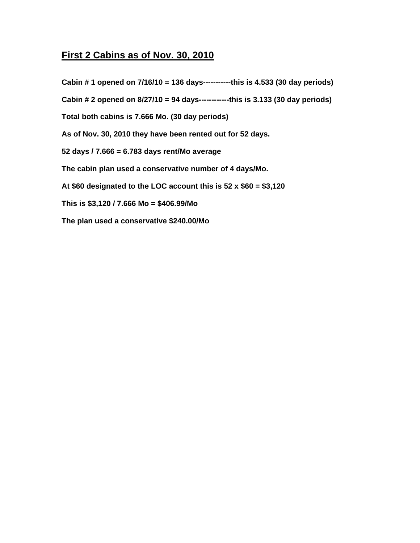# **First 2 Cabins as of Nov. 30, 2010**

**Cabin # 1 opened on 7/16/10 = 136 days-----------this is 4.533 (30 day periods) Cabin # 2 opened on 8/27/10 = 94 days------------this is 3.133 (30 day periods) Total both cabins is 7.666 Mo. (30 day periods) As of Nov. 30, 2010 they have been rented out for 52 days. 52 days / 7.666 = 6.783 days rent/Mo average The cabin plan used a conservative number of 4 days/Mo. At \$60 designated to the LOC account this is 52 x \$60 = \$3,120 This is \$3,120 / 7.666 Mo = \$406.99/Mo The plan used a conservative \$240.00/Mo**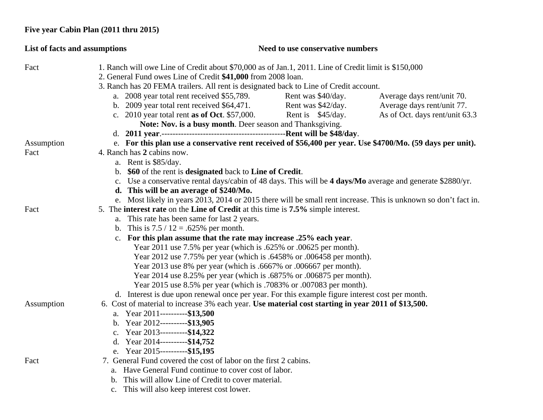## **Five year Cabin Plan (2011 thru 2015)**

| List of facts and assumptions |                                                                                                                                                                      | Need to use conservative numbers |                                |
|-------------------------------|----------------------------------------------------------------------------------------------------------------------------------------------------------------------|----------------------------------|--------------------------------|
| Fact                          | 1. Ranch will owe Line of Credit about \$70,000 as of Jan.1, 2011. Line of Credit limit is \$150,000<br>2. General Fund owes Line of Credit \$41,000 from 2008 loan. |                                  |                                |
|                               | 3. Ranch has 20 FEMA trailers. All rent is designated back to Line of Credit account.                                                                                |                                  |                                |
|                               | a. 2008 year total rent received \$55,789.                                                                                                                           | Rent was \$40/day.               | Average days rent/unit 70.     |
|                               | b. $2009$ year total rent received \$64,471.                                                                                                                         | Rent was \$42/day.               | Average days rent/unit 77.     |
|                               | c. 2010 year total rent as of Oct. $$57,000$ .                                                                                                                       | Rent is \$45/day.                | As of Oct. days rent/unit 63.3 |
|                               | Note: Nov. is a busy month. Deer season and Thanksgiving.                                                                                                            |                                  |                                |
|                               |                                                                                                                                                                      |                                  |                                |
| Assumption                    | e. For this plan use a conservative rent received of \$56,400 per year. Use \$4700/Mo. (59 days per unit).                                                           |                                  |                                |
| Fact                          | 4. Ranch has 2 cabins now.                                                                                                                                           |                                  |                                |
|                               | a. Rent is \$85/day.                                                                                                                                                 |                                  |                                |
|                               | b. \$60 of the rent is designated back to Line of Credit.                                                                                                            |                                  |                                |
|                               | c. Use a conservative rental days/cabin of 48 days. This will be 4 days/Mo average and generate \$2880/yr.                                                           |                                  |                                |
|                               | d. This will be an average of \$240/Mo.                                                                                                                              |                                  |                                |
|                               | e. Most likely in years 2013, 2014 or 2015 there will be small rent increase. This is unknown so don't fact in.                                                      |                                  |                                |
| Fact                          | 5. The <b>interest rate</b> on the <b>Line of Credit</b> at this time is 7.5% simple interest.                                                                       |                                  |                                |
|                               | a. This rate has been same for last 2 years.                                                                                                                         |                                  |                                |
|                               | b. This is $7.5 / 12 = .625%$ per month.                                                                                                                             |                                  |                                |
|                               | c. For this plan assume that the rate may increase .25% each year.                                                                                                   |                                  |                                |
|                               | Year 2011 use 7.5% per year (which is .625% or .00625 per month).                                                                                                    |                                  |                                |
|                               | Year 2012 use 7.75% per year (which is .6458% or .006458 per month).                                                                                                 |                                  |                                |
|                               | Year 2013 use 8% per year (which is .6667% or .006667 per month).                                                                                                    |                                  |                                |
|                               | Year 2014 use 8.25% per year (which is .6875% or .006875 per month).                                                                                                 |                                  |                                |
|                               | Year 2015 use 8.5% per year (which is .7083% or .007083 per month).                                                                                                  |                                  |                                |
|                               | d. Interest is due upon renewal once per year. For this example figure interest cost per month.                                                                      |                                  |                                |
| Assumption                    | 6. Cost of material to increase 3% each year. Use material cost starting in year 2011 of \$13,500.                                                                   |                                  |                                |
|                               | a. Year 2011----------\$13,500                                                                                                                                       |                                  |                                |
|                               | b. Year $2012$ ----------\$13,905                                                                                                                                    |                                  |                                |
|                               | c. Year 2013----------\$14,322                                                                                                                                       |                                  |                                |
|                               | d. Year 2014----------\$14,752<br>e. Year 2015----------\$15,195                                                                                                     |                                  |                                |
| Fact                          | 7. General Fund covered the cost of labor on the first 2 cabins.                                                                                                     |                                  |                                |
|                               | a. Have General Fund continue to cover cost of labor.                                                                                                                |                                  |                                |
|                               | b. This will allow Line of Credit to cover material.                                                                                                                 |                                  |                                |
|                               | c. This will also keep interest cost lower.                                                                                                                          |                                  |                                |
|                               |                                                                                                                                                                      |                                  |                                |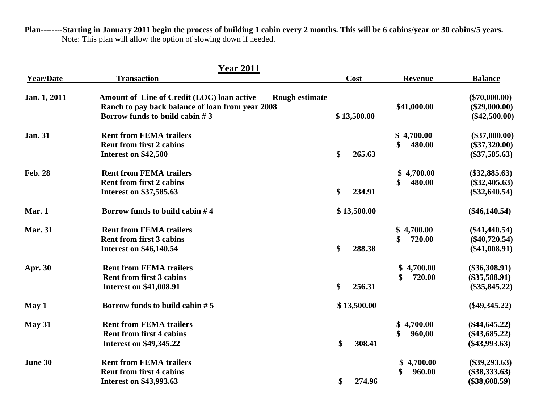**Plan--------Starting in January 2011 begin the process of building 1 cabin every 2 months. This will be 6 cabins/year or 30 cabins/5 years.**  Note: This plan will allow the option of slowing down if needed.

|                  | <b>Year 2011</b>                                                                                                                                            |              |                |                                                       |
|------------------|-------------------------------------------------------------------------------------------------------------------------------------------------------------|--------------|----------------|-------------------------------------------------------|
| <b>Year/Date</b> | <b>Transaction</b>                                                                                                                                          | Cost         | <b>Revenue</b> | <b>Balance</b>                                        |
| Jan. 1, 2011     | Amount of Line of Credit (LOC) loan active<br><b>Rough estimate</b><br>Ranch to pay back balance of loan from year 2008<br>Borrow funds to build cabin $#3$ | \$13,500.00  | \$41,000.00    | $(\$70,000.00)$<br>$(\$29,000.00)$<br>$(\$42,500.00)$ |
|                  |                                                                                                                                                             |              |                |                                                       |
| <b>Jan. 31</b>   | <b>Rent from FEMA trailers</b>                                                                                                                              |              | \$4,700.00     | $(\$37,800.00)$                                       |
|                  | <b>Rent from first 2 cabins</b>                                                                                                                             |              | \$<br>480.00   | $(\$37,320.00)$                                       |
|                  | Interest on \$42,500                                                                                                                                        | \$<br>265.63 |                | $(\$37,585.63)$                                       |
| <b>Feb. 28</b>   | <b>Rent from FEMA trailers</b>                                                                                                                              |              | \$4,700.00     | $(\$32,885.63)$                                       |
|                  | <b>Rent from first 2 cabins</b>                                                                                                                             |              | \$<br>480.00   | $(\$32,405.63)$                                       |
|                  | Interest on \$37,585.63                                                                                                                                     | \$<br>234.91 |                | $(\$32,640.54)$                                       |
| Mar. 1           | Borrow funds to build cabin $#4$                                                                                                                            | \$13,500.00  |                | $(\$46,140.54)$                                       |
| <b>Mar. 31</b>   | <b>Rent from FEMA trailers</b>                                                                                                                              |              | 4,700.00<br>\$ | $(\$41,440.54)$                                       |
|                  | <b>Rent from first 3 cabins</b>                                                                                                                             |              | \$<br>720.00   | $(\$40,720.54)$                                       |
|                  | <b>Interest on \$46,140.54</b>                                                                                                                              | \$<br>288.38 |                | $(\$41,008.91)$                                       |
| Apr. 30          | <b>Rent from FEMA trailers</b>                                                                                                                              |              | \$<br>4,700.00 | $(\$36,308.91)$                                       |
|                  | <b>Rent from first 3 cabins</b>                                                                                                                             |              | 720.00<br>\$   | $(\$35,588.91)$                                       |
|                  | <b>Interest on \$41,008.91</b>                                                                                                                              | \$<br>256.31 |                | $(\$35,845.22)$                                       |
| May 1            | Borrow funds to build cabin $# 5$                                                                                                                           | \$13,500.00  |                | $(\$49,345.22)$                                       |
| <b>May 31</b>    | <b>Rent from FEMA trailers</b>                                                                                                                              |              | 4,700.00<br>\$ | $(\$44,645.22)$                                       |
|                  | <b>Rent from first 4 cabins</b>                                                                                                                             |              | \$<br>960,00   | $(\$43,685.22)$                                       |
|                  | <b>Interest on \$49,345.22</b>                                                                                                                              | \$<br>308.41 |                | $(\$43,993.63)$                                       |
| June 30          | <b>Rent from FEMA trailers</b>                                                                                                                              |              | 4,700.00<br>\$ | $(\$39,293.63)$                                       |
|                  | <b>Rent from first 4 cabins</b>                                                                                                                             |              | 960.00<br>\$   | $(\$38,333.63)$                                       |
|                  | <b>Interest on \$43,993.63</b>                                                                                                                              | 274.96<br>\$ |                | $(\$38,608.59)$                                       |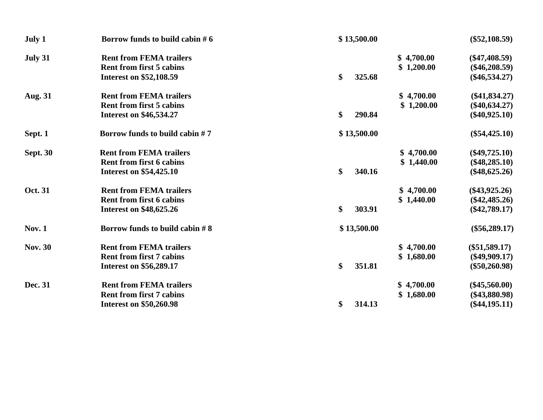| July 1          | Borrow funds to build cabin $# 6$ | \$13,500.00  | $(\$52,108.59)$               |
|-----------------|-----------------------------------|--------------|-------------------------------|
| July 31         | <b>Rent from FEMA trailers</b>    |              | \$4,700.00<br>$(\$47,408.59)$ |
|                 | <b>Rent from first 5 cabins</b>   |              | \$1,200.00<br>$(\$46,208.59)$ |
|                 | <b>Interest on \$52,108.59</b>    | \$<br>325.68 | $(\$46,534.27)$               |
| <b>Aug. 31</b>  | <b>Rent from FEMA trailers</b>    |              | \$4,700.00<br>$(\$41,834.27)$ |
|                 | <b>Rent from first 5 cabins</b>   |              | \$1,200.00<br>$(\$40,634.27)$ |
|                 | <b>Interest on \$46,534.27</b>    | \$<br>290.84 | $(\$40,925.10)$               |
| Sept. 1         | Borrow funds to build cabin #7    | \$13,500.00  | $(\$54,425.10)$               |
| <b>Sept. 30</b> | <b>Rent from FEMA trailers</b>    |              | \$4,700.00<br>$(\$49,725.10)$ |
|                 | <b>Rent from first 6 cabins</b>   |              | \$1,440.00<br>$(\$48,285.10)$ |
|                 | <b>Interest on \$54,425.10</b>    | \$<br>340.16 | $(\$48,625.26)$               |
| Oct. 31         | <b>Rent from FEMA trailers</b>    |              | \$4,700.00<br>$(\$43,925.26)$ |
|                 | <b>Rent from first 6 cabins</b>   |              | \$1,440.00<br>$(\$42,485.26)$ |
|                 | <b>Interest on \$48,625.26</b>    | \$<br>303.91 | $(\$42,789.17)$               |
| <b>Nov. 1</b>   | Borrow funds to build cabin $#8$  | \$13,500.00  | $(\$56,289.17)$               |
| <b>Nov. 30</b>  | <b>Rent from FEMA trailers</b>    |              | \$4,700.00<br>$(\$51,589.17)$ |
|                 | <b>Rent from first 7 cabins</b>   |              | \$1,680.00<br>$(\$49,909.17)$ |
|                 | <b>Interest on \$56,289.17</b>    | \$<br>351.81 | $(\$50,260.98)$               |
| Dec. 31         | <b>Rent from FEMA trailers</b>    |              | \$4,700.00<br>$(\$45,560.00)$ |
|                 | <b>Rent from first 7 cabins</b>   |              | \$1,680.00<br>$(\$43,880.98)$ |
|                 | <b>Interest on \$50,260.98</b>    | \$<br>314.13 | $(\$44,195.11)$               |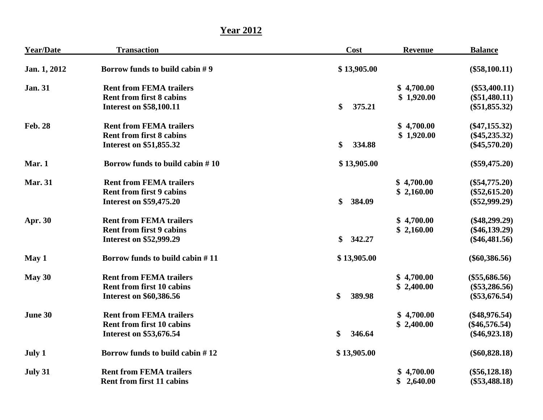**Year 2012**

| <b>Year/Date</b> | <b>Transaction</b>                 | Cost         | <b>Revenue</b> | <b>Balance</b>  |
|------------------|------------------------------------|--------------|----------------|-----------------|
| Jan. 1, 2012     | Borrow funds to build cabin $# 9$  | \$13,905.00  |                | $(\$58,100.11)$ |
| <b>Jan. 31</b>   | <b>Rent from FEMA trailers</b>     |              | \$4,700.00     | $(\$53,400.11)$ |
|                  | <b>Rent from first 8 cabins</b>    |              | \$1,920.00     | $(\$51,480.11)$ |
|                  | <b>Interest on \$58,100.11</b>     | \$<br>375.21 |                | $(\$51,855.32)$ |
| <b>Feb. 28</b>   | <b>Rent from FEMA trailers</b>     |              | \$4,700.00     | $(\$47,155.32)$ |
|                  | <b>Rent from first 8 cabins</b>    |              | \$1,920.00     | $(\$45,235.32)$ |
|                  | Interest on \$51,855.32            | \$<br>334.88 |                | $(\$45,570.20)$ |
| Mar. 1           | Borrow funds to build cabin $# 10$ | \$13,905.00  |                | $(\$59,475.20)$ |
| <b>Mar. 31</b>   | <b>Rent from FEMA trailers</b>     |              | \$4,700.00     | $(\$54,775.20)$ |
|                  | <b>Rent from first 9 cabins</b>    |              | \$2,160.00     | $(\$52,615.20)$ |
|                  | <b>Interest on \$59,475.20</b>     | \$<br>384.09 |                | $(\$52,999.29)$ |
| Apr. 30          | <b>Rent from FEMA trailers</b>     |              | \$4,700.00     | $(\$48,299.29)$ |
|                  | <b>Rent from first 9 cabins</b>    |              | \$2,160.00     | $(\$46,139.29)$ |
|                  | <b>Interest on \$52,999.29</b>     | \$<br>342.27 |                | $(\$46,481.56)$ |
| May 1            | Borrow funds to build cabin #11    | \$13,905.00  |                | $(\$60,386.56)$ |
| May 30           | <b>Rent from FEMA trailers</b>     |              | \$4,700.00     | $(\$55,686.56)$ |
|                  | <b>Rent from first 10 cabins</b>   |              | \$2,400.00     | $(\$53,286.56)$ |
|                  | <b>Interest on \$60,386.56</b>     | \$<br>389.98 |                | $(\$53,676.54)$ |
| June 30          | <b>Rent from FEMA trailers</b>     |              | \$4,700.00     | $(\$48,976.54)$ |
|                  | <b>Rent from first 10 cabins</b>   |              | \$2,400.00     | $(\$46,576.54)$ |
|                  | <b>Interest on \$53,676.54</b>     | \$<br>346.64 |                | $(\$46,923.18)$ |
| July 1           | Borrow funds to build cabin #12    | \$13,905.00  |                | $(\$60,828.18)$ |
| July 31          | <b>Rent from FEMA trailers</b>     |              | \$4,700.00     | $(\$56,128.18)$ |
|                  | <b>Rent from first 11 cabins</b>   |              | \$2,640.00     | $(\$53,488.18)$ |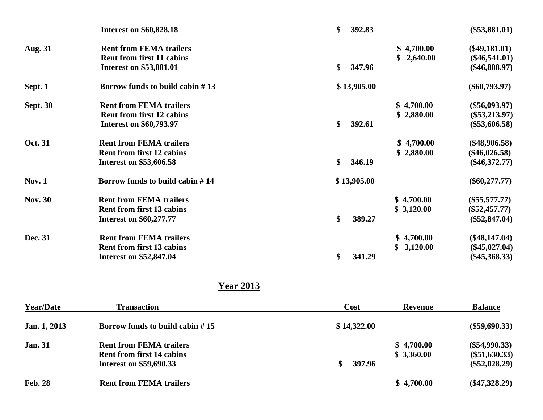|                 | <b>Interest on \$60,828.18</b>     | \$<br>392.83            | $(\$53,881.01)$ |
|-----------------|------------------------------------|-------------------------|-----------------|
| <b>Aug. 31</b>  | <b>Rent from FEMA trailers</b>     | \$4,700.00              | $(\$49,181.01)$ |
|                 | <b>Rent from first 11 cabins</b>   | \$2,640.00              | $(\$46,541.01)$ |
|                 | <b>Interest on \$53,881.01</b>     | $\mathbf{\$}$<br>347.96 | $(\$46,888.97)$ |
| Sept. 1         | Borrow funds to build cabin $# 13$ | \$13,905.00             | $(\$60,793.97)$ |
| <b>Sept. 30</b> | <b>Rent from FEMA trailers</b>     | \$4,700.00              | $(\$56,093.97)$ |
|                 | <b>Rent from first 12 cabins</b>   | \$2,880.00              | $(\$53,213.97)$ |
|                 | <b>Interest on \$60,793.97</b>     | $\mathbf{\$}$<br>392.61 | $(\$53,606.58)$ |
| Oct. 31         | <b>Rent from FEMA trailers</b>     | \$4,700.00              | $(\$48,906.58)$ |
|                 | <b>Rent from first 12 cabins</b>   | \$2,880.00              | $(\$46,026.58)$ |
|                 | Interest on \$53,606.58            | $\mathbf{\$}$<br>346.19 | $(\$46,372.77)$ |
| <b>Nov. 1</b>   | Borrow funds to build cabin #14    | \$13,905.00             | $(\$60,277.77)$ |
| <b>Nov. 30</b>  | <b>Rent from FEMA trailers</b>     | \$4,700.00              | $(\$55,577.77)$ |
|                 | <b>Rent from first 13 cabins</b>   | \$3,120.00              | $(\$52,457.77)$ |
|                 | <b>Interest on \$60,277.77</b>     | \$<br>389.27            | $(\$52,847.04)$ |
| Dec. 31         | <b>Rent from FEMA trailers</b>     | \$4,700.00              | $(\$48,147.04)$ |
|                 | <b>Rent from first 13 cabins</b>   | 3,120.00<br>\$          | $(\$45,027.04)$ |
|                 | <b>Interest on \$52,847.04</b>     | \$<br>341.29            | $(\$45,368.33)$ |
|                 |                                    |                         |                 |

#### **Year 2013**

| <b>Year/Date</b>    | <b>Transaction</b>                                                                                   | Cost        | <b>Revenue</b>           | <b>Balance</b>                                        |
|---------------------|------------------------------------------------------------------------------------------------------|-------------|--------------------------|-------------------------------------------------------|
| <b>Jan.</b> 1, 2013 | Borrow funds to build cabin $# 15$                                                                   | \$14,322.00 |                          | $(\$59,690.33)$                                       |
| <b>Jan. 31</b>      | <b>Rent from FEMA trailers</b><br><b>Rent from first 14 cabins</b><br><b>Interest on \$59,690.33</b> | 397.96      | \$4,700.00<br>\$3,360.00 | $(\$54,990.33)$<br>$(\$51,630.33)$<br>$(\$52,028.29)$ |
| <b>Feb. 28</b>      | <b>Rent from FEMA trailers</b>                                                                       |             | \$4,700.00               | $(\$47,328.29)$                                       |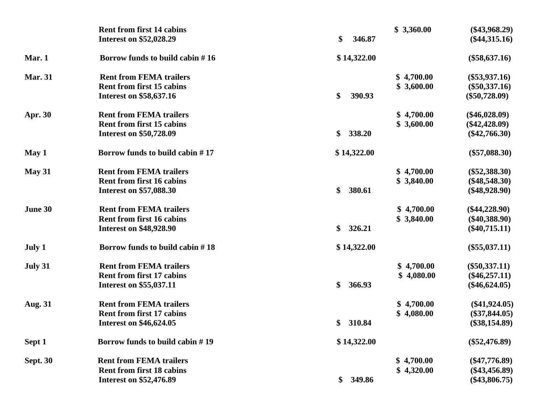|                 | <b>Rent from first 14 cabins</b>   | \$3,360.00   | $(\$43,968.29)$ |
|-----------------|------------------------------------|--------------|-----------------|
|                 | <b>Interest on \$52,028.29</b>     | \$<br>346.87 | $(\$44,315.16)$ |
| Mar. 1          | Borrow funds to build cabin $# 16$ | \$14,322.00  | $(\$58,637.16)$ |
| <b>Mar. 31</b>  | <b>Rent from FEMA trailers</b>     | \$4,700.00   | $(\$53,937.16)$ |
|                 | <b>Rent from first 15 cabins</b>   | \$3,600.00   | $(\$50,337.16)$ |
|                 | <b>Interest on \$58,637.16</b>     | \$<br>390.93 | $(\$50,728.09)$ |
| <b>Apr. 30</b>  | <b>Rent from FEMA trailers</b>     | \$4,700.00   | $(\$46,028.09)$ |
|                 | <b>Rent from first 15 cabins</b>   | \$3,600.00   | $(\$42,428.09)$ |
|                 | <b>Interest on \$50,728.09</b>     | \$<br>338.20 | $(\$42,766.30)$ |
| May 1           | Borrow funds to build cabin #17    | \$14,322.00  | $(\$57,088.30)$ |
| May 31          | <b>Rent from FEMA trailers</b>     | \$4,700.00   | $(\$52,388.30)$ |
|                 | <b>Rent from first 16 cabins</b>   | \$3,840.00   | $(\$48,548.30)$ |
|                 | Interest on \$57,088.30            | \$<br>380.61 | $(\$48,928.90)$ |
| June 30         | <b>Rent from FEMA trailers</b>     | \$4,700.00   | $(\$44,228.90)$ |
|                 | <b>Rent from first 16 cabins</b>   | \$3,840.00   | $(\$40,388.90)$ |
|                 | <b>Interest on \$48,928.90</b>     | \$<br>326.21 | $(\$40,715.11)$ |
| July 1          | Borrow funds to build cabin #18    | \$14,322.00  | $(\$55,037.11)$ |
| July 31         | <b>Rent from FEMA trailers</b>     | \$4,700.00   | $(\$50,337.11)$ |
|                 | <b>Rent from first 17 cabins</b>   | \$4,080.00   | $(\$46,257.11)$ |
|                 | <b>Interest on \$55,037.11</b>     | \$<br>366.93 | $(\$46,624.05)$ |
| <b>Aug. 31</b>  | <b>Rent from FEMA trailers</b>     | \$4,700.00   | $(\$41,924.05)$ |
|                 | <b>Rent from first 17 cabins</b>   | \$4,080.00   | $(\$37,844.05)$ |
|                 | <b>Interest on \$46,624.05</b>     | 310.84<br>\$ | $(\$38,154.89)$ |
| Sept 1          | Borrow funds to build cabin #19    | \$14,322.00  | $(\$52,476.89)$ |
| <b>Sept. 30</b> | <b>Rent from FEMA trailers</b>     | \$4,700.00   | $(\$47,776.89)$ |
|                 | <b>Rent from first 18 cabins</b>   | \$4,320.00   | $(\$43,456.89)$ |
|                 | <b>Interest on \$52,476.89</b>     | 349.86<br>\$ | $(\$43,806.75)$ |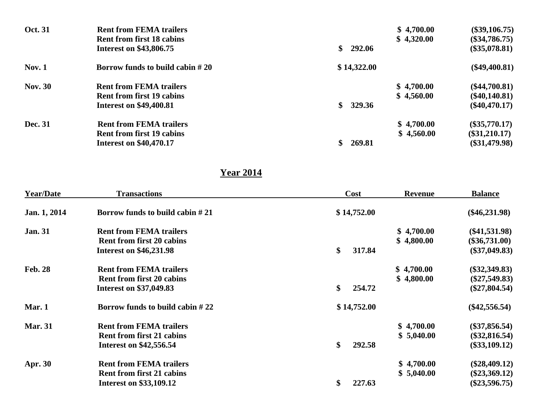| <b>Oct. 31</b> | <b>Rent from FEMA trailers</b>    |              | \$4,700.00 | $(\$39,106.75)$ |
|----------------|-----------------------------------|--------------|------------|-----------------|
|                | <b>Rent from first 18 cabins</b>  |              | \$4,320.00 | $(\$34,786.75)$ |
|                | <b>Interest on \$43,806.75</b>    | 292.06<br>\$ |            | $(\$35,078.81)$ |
| <b>Nov. 1</b>  | Borrow funds to build cabin $#20$ | \$14,322.00  |            | $(\$49,400.81)$ |
| <b>Nov. 30</b> | <b>Rent from FEMA trailers</b>    |              | \$4,700.00 | $(\$44,700.81)$ |
|                | <b>Rent from first 19 cabins</b>  |              | \$4,560.00 | $(\$40,140.81)$ |
|                | <b>Interest on \$49,400.81</b>    | 329.36<br>\$ |            | $(\$40,470.17)$ |
| Dec. 31        | <b>Rent from FEMA trailers</b>    |              | \$4,700.00 | $(\$35,770.17)$ |
|                | <b>Rent from first 19 cabins</b>  |              | \$4,560.00 | $(\$31,210.17)$ |
|                | <b>Interest on \$40,470.17</b>    | 269.81       |            | $(\$31,479.98)$ |

### **Year 2014**

| <b>Year/Date</b> | <b>Transactions</b>                                                | Cost         | <b>Revenue</b> | <b>Balance</b>                     |
|------------------|--------------------------------------------------------------------|--------------|----------------|------------------------------------|
| Jan. 1, 2014     | Borrow funds to build cabin $#21$                                  | \$14,752.00  |                | $(\$46,231.98)$                    |
| <b>Jan. 31</b>   | <b>Rent from FEMA trailers</b>                                     |              | \$4,700.00     | $(\$41,531.98)$                    |
|                  | <b>Rent from first 20 cabins</b><br><b>Interest on \$46,231.98</b> | \$<br>317.84 | \$4,800.00     | $(\$36,731.00)$<br>$(\$37,049.83)$ |
| <b>Feb. 28</b>   | <b>Rent from FEMA trailers</b>                                     |              | \$4,700.00     | $(\$32,349.83)$                    |
|                  | <b>Rent from first 20 cabins</b>                                   |              | \$4,800.00     | $(\$27,549.83)$                    |
|                  | <b>Interest on \$37,049.83</b>                                     | \$<br>254.72 |                | $(\$27,804.54)$                    |
| Mar. 1           | Borrow funds to build cabin $#22$                                  | \$14,752.00  |                | $(\$42,556.54)$                    |
| <b>Mar. 31</b>   | <b>Rent from FEMA trailers</b>                                     |              | \$4,700.00     | $(\$37,856.54)$                    |
|                  | <b>Rent from first 21 cabins</b>                                   |              | \$5,040.00     | $(\$32,816.54)$                    |
|                  | <b>Interest on \$42,556.54</b>                                     | \$<br>292.58 |                | $(\$33,109.12)$                    |
| <b>Apr. 30</b>   | <b>Rent from FEMA trailers</b>                                     |              | \$4,700.00     | $(\$28,409.12)$                    |
|                  | <b>Rent from first 21 cabins</b>                                   |              | \$5,040.00     | $(\$23,369.12)$                    |
|                  | <b>Interest on \$33,109.12</b>                                     | \$<br>227.63 |                | $(\$23,596.75)$                    |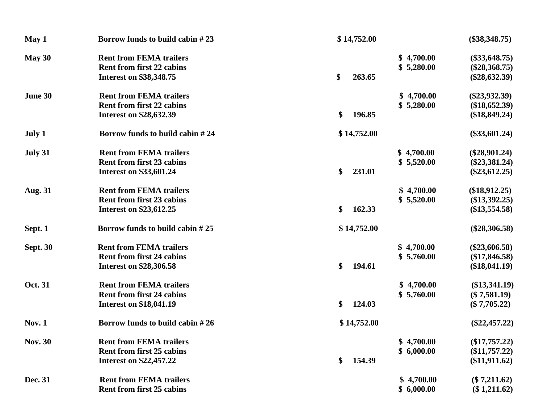| May 1           | Borrow funds to build cabin #23  | \$14,752.00  | $(\$38,348.75)$ |
|-----------------|----------------------------------|--------------|-----------------|
| May 30          | <b>Rent from FEMA trailers</b>   | \$4,700.00   | $(\$33,648.75)$ |
|                 | <b>Rent from first 22 cabins</b> | \$5,280.00   | $(\$28,368.75)$ |
|                 | <b>Interest on \$38,348.75</b>   | \$<br>263.65 | $(\$28,632.39)$ |
| June 30         | <b>Rent from FEMA trailers</b>   | \$4,700.00   | $(\$23,932.39)$ |
|                 | <b>Rent from first 22 cabins</b> | \$5,280.00   | $(\$18,652.39)$ |
|                 | <b>Interest on \$28,632.39</b>   | \$<br>196.85 | (\$18,849.24)   |
| July 1          | Borrow funds to build cabin #24  | \$14,752.00  | $(\$33,601.24)$ |
| July 31         | <b>Rent from FEMA trailers</b>   | \$4,700.00   | $(\$28,901.24)$ |
|                 | <b>Rent from first 23 cabins</b> | \$5,520.00   | $(\$23,381.24)$ |
|                 | <b>Interest on \$33,601.24</b>   | \$<br>231.01 | $(\$23,612.25)$ |
| <b>Aug. 31</b>  | <b>Rent from FEMA trailers</b>   | \$4,700.00   | $(\$18,912.25)$ |
|                 | <b>Rent from first 23 cabins</b> | \$5,520.00   | $(\$13,392.25)$ |
|                 | <b>Interest on \$23,612.25</b>   | \$<br>162.33 | $(\$13,554.58)$ |
| Sept. 1         | Borrow funds to build cabin #25  | \$14,752.00  | $(\$28,306.58)$ |
| <b>Sept. 30</b> | <b>Rent from FEMA trailers</b>   | \$4,700.00   | $(\$23,606.58)$ |
|                 | <b>Rent from first 24 cabins</b> | \$5,760.00   | $(\$17,846.58)$ |
|                 | <b>Interest on \$28,306.58</b>   | \$<br>194.61 | (\$18,041.19)   |
| Oct. 31         | <b>Rent from FEMA trailers</b>   | \$4,700.00   | $(\$13,341.19)$ |
|                 | <b>Rent from first 24 cabins</b> | \$5,760.00   | $(\$7,581.19)$  |
|                 | <b>Interest on \$18,041.19</b>   | \$<br>124.03 | $(\$7,705.22)$  |
| <b>Nov. 1</b>   | Borrow funds to build cabin #26  | \$14,752.00  | $(\$22,457.22)$ |
| <b>Nov. 30</b>  | <b>Rent from FEMA trailers</b>   | \$4,700.00   | $(\$17,757.22)$ |
|                 | <b>Rent from first 25 cabins</b> | \$6,000.00   | $(\$11,757.22)$ |
|                 | <b>Interest on \$22,457.22</b>   | 154.39<br>\$ | $(\$11,911.62)$ |
| Dec. 31         | <b>Rent from FEMA trailers</b>   | \$4,700.00   | $(\$7,211.62)$  |
|                 | <b>Rent from first 25 cabins</b> | \$6,000.00   | $(\$1,211.62)$  |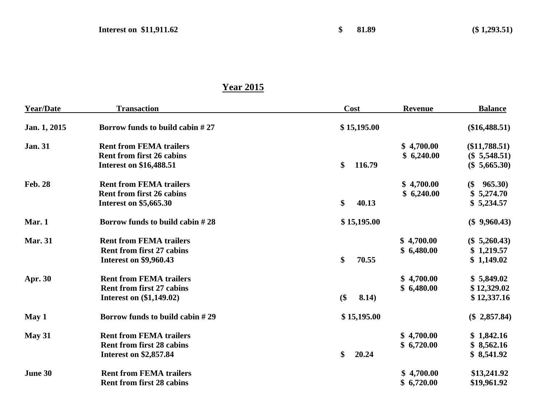#### **Year 2015**

| <b>Year/Date</b> | <b>Transaction</b>                | Cost         | <b>Revenue</b> | <b>Balance</b>        |
|------------------|-----------------------------------|--------------|----------------|-----------------------|
| Jan. 1, 2015     | Borrow funds to build cabin $#27$ | \$15,195.00  |                | $(\$16,488.51)$       |
| <b>Jan. 31</b>   | <b>Rent from FEMA trailers</b>    |              | \$4,700.00     | $(\$11,788.51)$       |
|                  | <b>Rent from first 26 cabins</b>  |              | \$6,240.00     | $(\$ 5,548.51)$       |
|                  | <b>Interest on \$16,488.51</b>    | \$<br>116.79 |                | $(\$ 5,665.30)$       |
| <b>Feb. 28</b>   | <b>Rent from FEMA trailers</b>    |              | \$4,700.00     | 965.30)<br>$$^{(5)}$$ |
|                  | <b>Rent from first 26 cabins</b>  |              | \$6,240.00     | \$5,274.70            |
|                  | <b>Interest on \$5,665.30</b>     | \$<br>40.13  |                | \$5,234.57            |
| Mar. 1           | Borrow funds to build cabin $#28$ | \$15,195.00  |                | $(\$9,960.43)$        |
| <b>Mar. 31</b>   | <b>Rent from FEMA trailers</b>    |              | \$4,700.00     | $(\$ 5,260.43)$       |
|                  | <b>Rent from first 27 cabins</b>  |              | \$6,480.00     | \$1,219.57            |
|                  | <b>Interest on \$9,960.43</b>     | \$<br>70.55  |                | \$1,149.02            |
| <b>Apr. 30</b>   | <b>Rent from FEMA trailers</b>    |              | \$4,700.00     | \$5,849.02            |
|                  | <b>Rent from first 27 cabins</b>  |              | \$6,480.00     | \$12,329.02           |
|                  | <b>Interest on (\$1,149.02)</b>   | \$<br>8.14)  |                | \$12,337.16           |
| May 1            | Borrow funds to build cabin $#29$ | \$15,195.00  |                | $(\$$ 2,857.84)       |
| May 31           | <b>Rent from FEMA trailers</b>    |              | \$4,700.00     | \$1,842.16            |
|                  | <b>Rent from first 28 cabins</b>  |              | \$6,720.00     | \$8,562.16            |
|                  | <b>Interest on \$2,857.84</b>     | \$<br>20.24  |                | \$8,541.92            |
| June 30          | <b>Rent from FEMA trailers</b>    |              | \$4,700.00     | \$13,241.92           |
|                  | <b>Rent from first 28 cabins</b>  |              | \$6,720.00     | \$19,961.92           |
|                  |                                   |              |                |                       |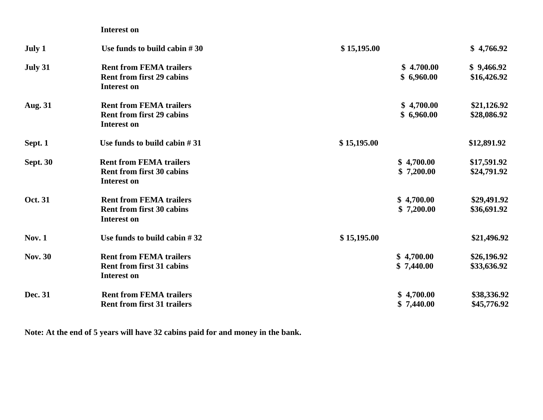|                 | <b>Interest on</b>                                                                       |                          |                            |
|-----------------|------------------------------------------------------------------------------------------|--------------------------|----------------------------|
| July 1          | Use funds to build cabin $#30$                                                           | \$15,195.00              | \$4,766.92                 |
| July 31         | <b>Rent from FEMA trailers</b><br><b>Rent from first 29 cabins</b><br><b>Interest on</b> | \$4.700.00<br>\$6,960.00 | \$9,466.92<br>\$16,426.92  |
| <b>Aug. 31</b>  | <b>Rent from FEMA trailers</b><br><b>Rent from first 29 cabins</b><br><b>Interest on</b> | \$4,700.00<br>\$6,960.00 | \$21,126.92<br>\$28,086.92 |
| Sept. 1         | Use funds to build cabin $#31$                                                           | \$15,195.00              | \$12,891.92                |
| <b>Sept. 30</b> | <b>Rent from FEMA trailers</b><br><b>Rent from first 30 cabins</b><br><b>Interest on</b> | \$4,700.00<br>\$7,200.00 | \$17,591.92<br>\$24,791.92 |
| <b>Oct. 31</b>  | <b>Rent from FEMA trailers</b><br><b>Rent from first 30 cabins</b><br><b>Interest on</b> | \$4,700.00<br>\$7,200.00 | \$29,491.92<br>\$36,691.92 |
| <b>Nov. 1</b>   | Use funds to build cabin $#32$                                                           | \$15,195.00              | \$21,496.92                |
| <b>Nov. 30</b>  | <b>Rent from FEMA trailers</b><br><b>Rent from first 31 cabins</b><br><b>Interest on</b> | \$4,700.00<br>\$7,440.00 | \$26,196.92<br>\$33,636.92 |
| Dec. 31         | <b>Rent from FEMA trailers</b><br><b>Rent from first 31 trailers</b>                     | \$4,700.00<br>\$7,440.00 | \$38,336.92<br>\$45,776.92 |

**Note: At the end of 5 years will have 32 cabins paid for and money in the bank.**